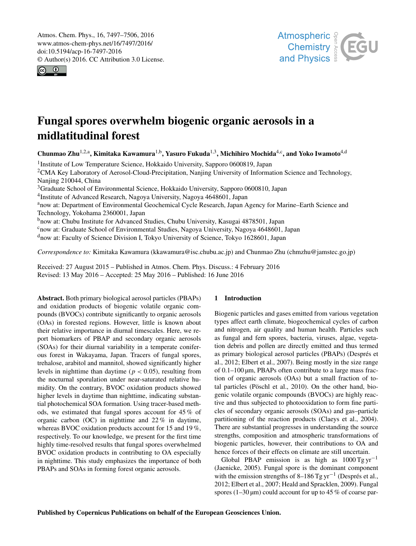<span id="page-0-1"></span>Atmos. Chem. Phys., 16, 7497–7506, 2016 www.atmos-chem-phys.net/16/7497/2016/ doi:10.5194/acp-16-7497-2016 © Author(s) 2016. CC Attribution 3.0 License.





# Fungal spores overwhelm biogenic organic aerosols in a midlatitudinal forest

Chunmao Zhu<sup>[1,2,a](#page-0-0)</sup>, Kimitaka Kawamura<sup>[1,b](#page-0-0)</sup>, Yasuro Fukuda<sup>[1,3](#page-0-0)</sup>, Michihiro Mochida<sup>[4,c](#page-0-0)</sup>, and Yoko Iwamoto<sup>[4,d](#page-0-0)</sup>

<sup>1</sup>Institute of Low Temperature Science, Hokkaido University, Sapporo 0600819, Japan <sup>2</sup>CMA Key Laboratory of Aerosol-Cloud-Precipitation, Nanjing University of Information Science and Technology, Nanjing 210044, China <sup>3</sup>Graduate School of Environmental Science, Hokkaido University, Sapporo 0600810, Japan <sup>4</sup>Institute of Advanced Research, Nagoya University, Nagoya 4648601, Japan anow at: Department of Environmental Geochemical Cycle Research, Japan Agency for Marine–Earth Science and Technology, Yokohama 2360001, Japan <sup>b</sup>now at: Chubu Institute for Advanced Studies, Chubu University, Kasugai 4878501, Japan <sup>c</sup>now at: Graduate School of Environmental Studies, Nagoya University, Nagoya 4648601, Japan <sup>d</sup>now at: Faculty of Science Division I, Tokyo University of Science, Tokyo 1628601, Japan

*Correspondence to:* Kimitaka Kawamura (kkawamura@isc.chubu.ac.jp) and Chunmao Zhu (chmzhu@jamstec.go.jp)

Received: 27 August 2015 – Published in Atmos. Chem. Phys. Discuss.: 4 February 2016 Revised: 13 May 2016 – Accepted: 25 May 2016 – Published: 16 June 2016

<span id="page-0-0"></span>Abstract. Both primary biological aerosol particles (PBAPs) and oxidation products of biogenic volatile organic compounds (BVOCs) contribute significantly to organic aerosols (OAs) in forested regions. However, little is known about their relative importance in diurnal timescales. Here, we report biomarkers of PBAP and secondary organic aerosols (SOAs) for their diurnal variability in a temperate coniferous forest in Wakayama, Japan. Tracers of fungal spores, trehalose, arabitol and mannitol, showed significantly higher levels in nighttime than daytime ( $p < 0.05$ ), resulting from the nocturnal sporulation under near-saturated relative humidity. On the contrary, BVOC oxidation products showed higher levels in daytime than nighttime, indicating substantial photochemical SOA formation. Using tracer-based methods, we estimated that fungal spores account for 45 % of organic carbon (OC) in nighttime and 22 % in daytime, whereas BVOC oxidation products account for 15 and 19%, respectively. To our knowledge, we present for the first time highly time-resolved results that fungal spores overwhelmed BVOC oxidation products in contributing to OA especially in nighttime. This study emphasizes the importance of both PBAPs and SOAs in forming forest organic aerosols.

# 1 Introduction

Biogenic particles and gases emitted from various vegetation types affect earth climate, biogeochemical cycles of carbon and nitrogen, air quality and human health. Particles such as fungal and fern spores, bacteria, viruses, algae, vegetation debris and pollen are directly emitted and thus termed as primary biological aerosol particles (PBAPs) (Després et al., 2012; Elbert et al., 2007). Being mostly in the size range of 0.1–100 µm, PBAPs often contribute to a large mass fraction of organic aerosols (OAs) but a small fraction of total particles (Pöschl et al., 2010). On the other hand, biogenic volatile organic compounds (BVOCs) are highly reactive and thus subjected to photooxidation to form fine particles of secondary organic aerosols (SOAs) and gas–particle partitioning of the reaction products (Claeys et al., 2004). There are substantial progresses in understanding the source strengths, composition and atmospheric transformations of biogenic particles, however, their contributions to OA and hence forces of their effects on climate are still uncertain.

Global PBAP emission is as high as  $1000$  Tg yr<sup>-1</sup> (Jaenicke, 2005). Fungal spore is the dominant component with the emission strengths of 8–186 Tg yr−<sup>1</sup> (Després et al., 2012; Elbert et al., 2007; Heald and Spracklen, 2009). Fungal spores ( $1-30 \mu m$ ) could account for up to 45 % of coarse par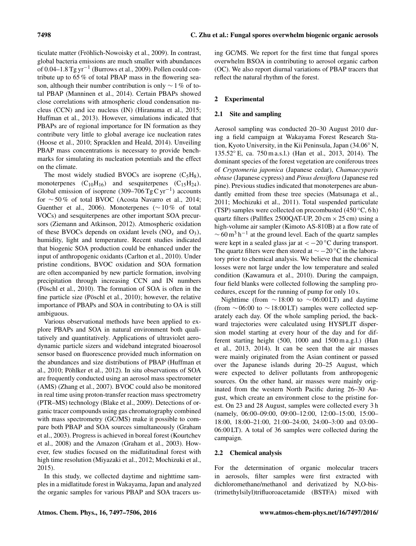ticulate matter (Fröhlich-Nowoisky et al., 2009). In contrast, global bacteria emissions are much smaller with abundances of 0.04–1.8 Tg yr−<sup>1</sup> (Burrows et al., 2009). Pollen could contribute up to 65 % of total PBAP mass in the flowering season, although their number contribution is only  $\sim$  1 % of total PBAP (Manninen et al., 2014). Certain PBAPs showed close correlations with atmospheric cloud condensation nucleus (CCN) and ice nucleus (IN) (Hiranuma et al., 2015; Huffman et al., 2013). However, simulations indicated that PBAPs are of regional importance for IN formation as they contribute very little to global average ice nucleation rates (Hoose et al., 2010; Spracklen and Heald, 2014). Unveiling PBAP mass concentrations is necessary to provide benchmarks for simulating its nucleation potentials and the effect on the climate.

The most widely studied BVOCs are isoprene  $(C_5H_8)$ , monoterpenes  $(C_{10}H_{16})$  and sesquiterpenes  $(C_{15}H_{24})$ . Global emission of isoprene (309–706 Tg C yr<sup>-1</sup>) accounts for ∼ 50 % of total BVOC (Acosta Navarro et al., 2014; Guenther et al., 2006). Monoterpenes ( $\sim$  10% of total VOCs) and sesquiterpenes are other important SOA precursors (Ziemann and Atkinson, 2012). Atmospheric oxidation of these BVOCs depends on oxidant levels  $(NO<sub>x</sub>$  and  $O<sub>3</sub>)$ , humidity, light and temperature. Recent studies indicated that biogenic SOA production could be enhanced under the input of anthropogenic oxidants (Carlton et al., 2010). Under pristine conditions, BVOC oxidation and SOA formation are often accompanied by new particle formation, involving precipitation through increasing CCN and IN numbers (Pöschl et al., 2010). The formation of SOA is often in the fine particle size (Pöschl et al., 2010); however, the relative importance of PBAPs and SOA in contributing to OA is still ambiguous.

Various observational methods have been applied to explore PBAPs and SOA in natural environment both qualitatively and quantitatively. Applications of ultraviolet aerodynamic particle sizers and wideband integrated bioaerosol sensor based on fluorescence provided much information on the abundances and size distributions of PBAP (Huffman et al., 2010; Pöhlker et al., 2012). In situ observations of SOA are frequently conducted using an aerosol mass spectrometer (AMS) (Zhang et al., 2007). BVOC could also be monitored in real time using proton-transfer reaction mass spectrometry (PTR–MS) technology (Blake et al., 2009). Detections of organic tracer compounds using gas chromatography combined with mass spectrometry (GC/MS) make it possible to compare both PBAP and SOA sources simultaneously (Graham et al., 2003). Progress is achieved in boreal forest (Kourtchev et al., 2008) and the Amazon (Graham et al., 2003). However, few studies focused on the midlatitudinal forest with high time resolution (Miyazaki et al., 2012; Mochizuki et al., 2015).

In this study, we collected daytime and nighttime samples in a midlatitude forest in Wakayama, Japan and analyzed the organic samples for various PBAP and SOA tracers using GC/MS. We report for the first time that fungal spores overwhelm BSOA in contributing to aerosol organic carbon (OC). We also report diurnal variations of PBAP tracers that reflect the natural rhythm of the forest.

# 2 Experimental

# 2.1 Site and sampling

Aerosol sampling was conducted 20–30 August 2010 during a field campaign at Wakayama Forest Research Station, Kyoto University, in the Kii Peninsula, Japan (34.06◦ N, 135.52◦ E, ca. 750 m a.s.l.) (Han et al., 2013, 2014). The dominant species of the forest vegetation are coniferous trees of *Cryptomeria japonica* (Japanese cedar), *Chamaecyparis obtuse* (Japanese cypress) and *Pinus densiflora* (Japanese red pine). Previous studies indicated that monoterpenes are abundantly emitted from these tree species (Matsunaga et al., 2011; Mochizuki et al., 2011). Total suspended particulate (TSP) samples were collected on precombusted  $(450 °C, 6 h)$ quartz filters (Pallflex 2500QAT-UP,  $20 \text{ cm} \times 25 \text{ cm}$ ) using a high-volume air sampler (Kimoto AS-810B) at a flow rate of  $\sim$  60 m<sup>3</sup> h<sup>-1</sup> at the ground level. Each of the quartz samples were kept in a sealed glass jar at  $<-20$ °C during transport. The quartz filters were then stored at  $\sim$  −20 °C in the laboratory prior to chemical analysis. We believe that the chemical losses were not large under the low temperature and sealed condition (Kawamura et al., 2010). During the campaign, four field blanks were collected following the sampling procedures, except for the running of pump for only 10 s.

Nighttime (from  $\sim$  18:00 to  $\sim$  06:00 LT) and daytime (from  $\sim$  06:00 to  $\sim$  18:00 LT) samples were collected separately each day. Of the whole sampling period, the backward trajectories were calculated using HYSPLIT dispersion model starting at every hour of the day and for different starting height (500, 1000 and 1500 m a.g.l.) (Han et al., 2013, 2014). It can be seen that the air masses were mainly originated from the Asian continent or passed over the Japanese islands during 20–25 August, which were expected to deliver pollutants from anthropogenic sources. On the other hand, air masses were mainly originated from the western North Pacific during 26–30 August, which create an environment close to the pristine forest. On 23 and 28 August, samples were collected every 3 h (namely, 06:00–09:00, 09:00–12:00, 12:00–15:00, 15:00– 18:00, 18:00–21:00, 21:00–24:00, 24:00–3:00 and 03:00– 06:00 LT). A total of 36 samples were collected during the campaign.

# 2.2 Chemical analysis

For the determination of organic molecular tracers in aerosols, filter samples were first extracted with dichloromethane/methanol and derivatized by N,O-bis- (trimethylsilyl)trifluoroacetamide (BSTFA) mixed with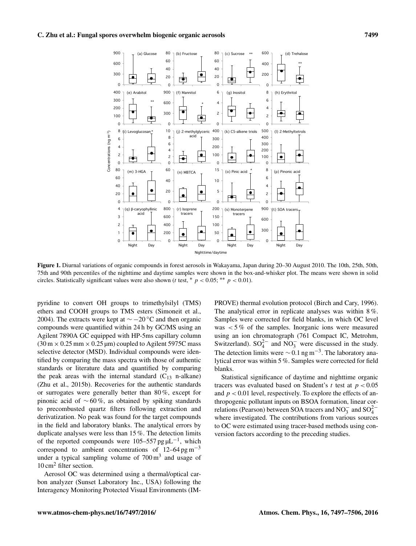

Figure 1. Diurnal variations of organic compounds in forest aerosols in Wakayama, Japan during 20–30 August 2010. The 10th, 25th, 50th, 75th and 90th percentiles of the nighttime and daytime samples were shown in the box-and-whisker plot. The means were shown in solid circles. Statistically significant values were also shown (t test, \*  $p < 0.05$ ; \*\*  $p < 0.01$ ).

pyridine to convert OH groups to trimethylsilyl (TMS) ethers and COOH groups to TMS esters (Simoneit et al., 2004). The extracts were kept at  $\sim$  −20 °C and then organic compounds were quantified within 24 h by GC/MS using an Agilent 7890A GC equipped with HP-5ms capillary column  $(30 \text{ m} \times 0.25 \text{ mm} \times 0.25 \text{ \mu m})$  coupled to Agilent 5975C mass selective detector (MSD). Individual compounds were identified by comparing the mass spectra with those of authentic standards or literature data and quantified by comparing the peak areas with the internal standard  $(C_{13}$  n-alkane) (Zhu et al., 2015b). Recoveries for the authentic standards or surrogates were generally better than 80 %, except for pinonic acid of  $\sim 60\%$ , as obtained by spiking standards to precombusted quartz filters following extraction and derivatization. No peak was found for the target compounds in the field and laboratory blanks. The analytical errors by duplicate analyses were less than 15 %. The detection limits of the reported compounds were 105–557 pg  $\mu$ L<sup>-1</sup>, which correspond to ambient concentrations of  $12-64$  pg m<sup>-3</sup> under a typical sampling volume of  $700 \text{ m}^3$  and usage of 10 cm<sup>2</sup> filter section.

Aerosol OC was determined using a thermal/optical carbon analyzer (Sunset Laboratory Inc., USA) following the Interagency Monitoring Protected Visual Environments (IM-

PROVE) thermal evolution protocol (Birch and Cary, 1996). The analytical error in replicate analyses was within 8 %. Samples were corrected for field blanks, in which OC level was  $< 5\%$  of the samples. Inorganic ions were measured using an ion chromatograph (761 Compact IC, Metrohm, Switzerland).  $SO_4^{2-}$  and  $NO_3^-$  were discussed in the study. The detection limits were  $\sim 0.1$  ng m<sup>-3</sup>. The laboratory analytical error was within 5 %. Samples were corrected for field blanks.

Statistical significance of daytime and nighttime organic tracers was evaluated based on Student's t test at  $p < 0.05$ and  $p < 0.01$  level, respectively. To explore the effects of anthropogenic pollutant inputs on BSOA formation, linear correlations (Pearson) between SOA tracers and NO<sub>3</sub><sup>-</sup> and SO<sub>4</sub><sup>-2</sup> where investigated. The contributions from various sources to OC were estimated using tracer-based methods using conversion factors according to the preceding studies.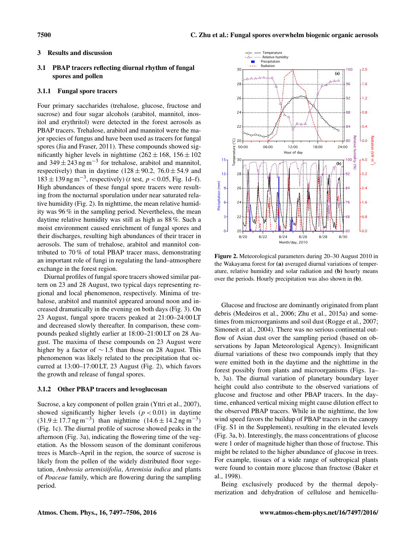## 3 Results and discussion

## 3.1 PBAP tracers reflecting diurnal rhythm of fungal spores and pollen

## 3.1.1 Fungal spore tracers

Four primary saccharides (trehalose, glucose, fructose and sucrose) and four sugar alcohols (arabitol, mannitol, inositol and erythritol) were detected in the forest aerosols as PBAP tracers. Trehalose, arabitol and mannitol were the major species of fungus and have been used as tracers for fungal spores (Jia and Fraser, 2011). These compounds showed significantly higher levels in nighttime  $(262 \pm 168, 156 \pm 102)$ and 349  $\pm$  243 ng m<sup>-3</sup> for trehalose, arabitol and mannitol, respectively) than in daytime  $(128 \pm 90.2, 76.0 \pm 54.9)$  and  $183 \pm 139$  ng m<sup>-3</sup>, respectively) (*t* test, *p* < 0.05, Fig. 1d–f). High abundances of these fungal spore tracers were resulting from the nocturnal sporulation under near saturated relative humidity (Fig. 2). In nighttime, the mean relative humidity was 96 % in the sampling period. Nevertheless, the mean daytime relative humidity was still as high as 88 %. Such a moist environment caused enrichment of fungal spores and their discharges, resulting high abundances of their tracer in aerosols. The sum of trehalose, arabitol and mannitol contributed to 70 % of total PBAP tracer mass, demonstrating an important role of fungi in regulating the land–atmosphere exchange in the forest region.

Diurnal profiles of fungal spore tracers showed similar pattern on 23 and 28 August, two typical days representing regional and local phenomenon, respectively. Minima of trehalose, arabitol and mannitol appeared around noon and increased dramatically in the evening on both days (Fig. 3). On 23 August, fungal spore tracers peaked at 21:00–24:00 LT and decreased slowly thereafter. In comparison, these compounds peaked slightly earlier at 18:00–21:00 LT on 28 August. The maxima of these compounds on 23 August were higher by a factor of ∼ 1.5 than those on 28 August. This phenomenon was likely related to the precipitation that occurred at 13:00–17:00 LT, 23 August (Fig. 2), which favors the growth and release of fungal spores.

## 3.1.2 Other PBAP tracers and levoglucosan

Sucrose, a key component of pollen grain (Yttri et al., 2007), showed significantly higher levels  $(p < 0.01)$  in daytime  $(31.9 \pm 17.7 \text{ ng m}^{-3})$  than nighttime  $(14.6 \pm 14.2 \text{ ng m}^{-3})$ (Fig. 1c). The diurnal profile of sucrose showed peaks in the afternoon (Fig. 3a), indicating the flowering time of the vegetation. As the blossom season of the dominant coniferous trees is March–April in the region, the source of sucrose is likely from the pollen of the widely distributed floor vegetation, *Ambrosia artemisiifolia*, *Artemisia indica* and plants of *Poaceae* family, which are flowering during the sampling period.



Figure 2. Meteorological parameters during 20–30 August 2010 in the Wakayama forest for (a) averaged diurnal variations of temperature, relative humidity and solar radiation and (b) hourly means over the periods. Hourly precipitation was also shown in (b).

Glucose and fructose are dominantly originated from plant debris (Medeiros et al., 2006; Zhu et al., 2015a) and sometimes from microorganisms and soil dust (Rogge et al., 2007; Simoneit et al., 2004). There was no serious continental outflow of Asian dust over the sampling period (based on observations by Japan Meteorological Agency). Insignificant diurnal variations of these two compounds imply that they were emitted both in the daytime and the nighttime in the forest possibly from plants and microorganisms (Figs. 1a– b, 3a). The diurnal variation of planetary boundary layer height could also contribute to the observed variations of glucose and fructose and other PBAP tracers. In the daytime, enhanced vertical mixing might cause dilution effect to the observed PBAP tracers. While in the nighttime, the low wind speed favors the buildup of PBAP tracers in the canopy (Fig. S1 in the Supplement), resulting in the elevated levels (Fig. 3a, b). Interestingly, the mass concentrations of glucose were 1 order of magnitude higher than those of fructose. This might be related to the higher abundance of glucose in trees. For example, tissues of a wide range of subtropical plants were found to contain more glucose than fructose (Baker et al., 1998).

Being exclusively produced by the thermal depolymerization and dehydration of cellulose and hemicellu-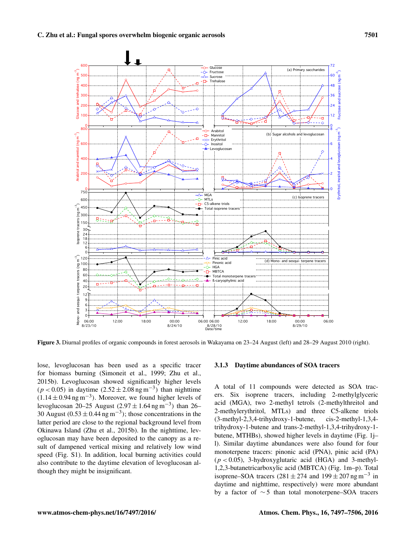

Figure 3. Diurnal profiles of organic compounds in forest aerosols in Wakayama on 23–24 August (left) and 28–29 August 2010 (right).

lose, levoglucosan has been used as a specific tracer for biomass burning (Simoneit et al., 1999; Zhu et al., 2015b). Levoglucosan showed significantly higher levels  $(p < 0.05)$  in daytime  $(2.52 \pm 2.08 \text{ ng m}^{-3})$  than nighttime  $(1.14 \pm 0.94$  ng m<sup>-3</sup>). Moreover, we found higher levels of levoglucosan 20–25 August (2.97  $\pm$  1.64 ng m<sup>-3</sup>) than 26– 30 August (0.53  $\pm$  0.44 ng m<sup>-3</sup>); those concentrations in the latter period are close to the regional background level from Okinawa Island (Zhu et al., 2015b). In the nighttime, levoglucosan may have been deposited to the canopy as a result of dampened vertical mixing and relatively low wind speed (Fig. S1). In addition, local burning activities could also contribute to the daytime elevation of levoglucosan although they might be insignificant.

#### 3.1.3 Daytime abundances of SOA tracers

A total of 11 compounds were detected as SOA tracers. Six isoprene tracers, including 2-methylglyceric acid (MGA), two 2-methyl tetrols (2-methylthreitol and 2-methylerythritol, MTLs) and three C5-alkene triols (3-methyl-2,3,4-trihydroxy-1-butene, cis-2-methyl-1,3,4 trihydroxy-1-butene and trans-2-methyl-1,3,4-trihydroxy-1 butene, MTHBs), showed higher levels in daytime (Fig. 1j– l). Similar daytime abundances were also found for four monoterpene tracers: pinonic acid (PNA), pinic acid (PA)  $(p < 0.05)$ , 3-hydroxyglutaric acid (HGA) and 3-methyl-1,2,3-butanetricarboxylic acid (MBTCA) (Fig. 1m–p). Total isoprene–SOA tracers (281 ± 274 and 199 ± 207 ng m<sup>-3</sup> in daytime and nighttime, respectively) were more abundant by a factor of ∼ 5 than total monoterpene–SOA tracers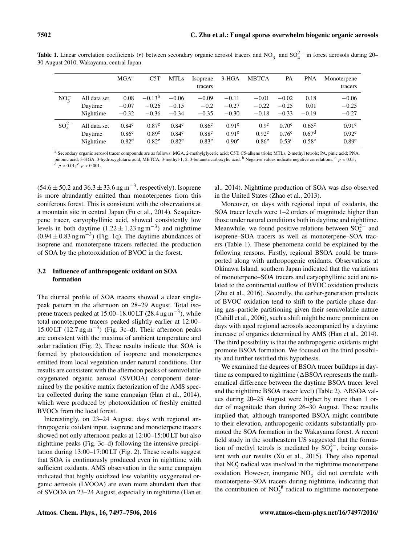**Table 1.** Linear correlation coefficients (r) between secondary organic aerosol tracers and NO<sub>3</sub><sup>-</sup> and SO<sub>4</sub><sup>2</sup><sup>-</sup> in forest aerosols during 20– 30 August 2010, Wakayama, central Japan.

|             |              | MGA <sup>a</sup>  | C5T               | <b>MTLs</b>       | Isoprene<br>tracers | $3-HGA$           | <b>MBTCA</b>     | PA                | <b>PNA</b>        | Monoterpene<br>tracers |
|-------------|--------------|-------------------|-------------------|-------------------|---------------------|-------------------|------------------|-------------------|-------------------|------------------------|
| $NO_2^-$    | All data set | 0.08              | $-0.13^{b}$       | $-0.06$           | $-0.09$             | $-0.11$           | $-0.01$          | $-0.02$           | 0.18              | $-0.06$                |
|             | Daytime      | $-0.07$           | $-0.26$           | $-0.15$           | $-0.2$              | $-0.27$           | $-0.22$          | $-0.25$           | 0.01              | $-0.25$                |
|             | Nighttime    | $-0.32$           | $-0.36$           | $-0.34$           | $-0.35$             | $-0.30$           | $-0.18$          | $-0.33$           | $-0.19$           | $-0.27$                |
| $SO_4^{2-}$ | All data set | 0.84 <sup>e</sup> | $0.87^e$          | $0.84^e$          | 0.86 <sup>e</sup>   | $0.91^e$          | 0.9 <sup>e</sup> | $0.70^e$          | $0.65^e$          | 0.91 <sup>e</sup>      |
|             | Daytime      | 0.86 <sup>e</sup> | 0.89 <sup>e</sup> | 0.84 <sup>e</sup> | 0.88 <sup>e</sup>   | 0.91 <sup>e</sup> | $0.92^e$         | $0.76^e$          | 0.67 <sup>d</sup> | 0.92 <sup>e</sup>      |
|             | Nighttime    | 0.82 <sup>e</sup> | 0.82 <sup>e</sup> | 0.82 <sup>e</sup> | 0.83 <sup>e</sup>   | 0.90 <sup>e</sup> | $0.86^e$         | 0.53 <sup>c</sup> | 0.58 <sup>c</sup> | 0.89 <sup>e</sup>      |

<sup>a</sup> Secondary organic aerosol tracer compounds are as follows: MGA, 2-methylglyceric acid; C5T, C5-alkene triols; MTLs, 2-methyl tetrols; PA, pinic acid; PNA, pinonic acid; 3-HGA, 3-hydroxyglutaric acid, MBTCA, 3-methyl-1, 2, 3-butanetricarboxylic acid. <sup>b</sup> Negative values indicate negative correlations. <sup>c</sup>  $p < 0.05$ ;  $d$   $p < 0.01$ ;  $e$   $p < 0.001$ .

 $(54.6 \pm 50.2 \text{ and } 36.3 \pm 33.6 \text{ ng m}^{-3}$ , respectively). Isoprene is more abundantly emitted than monoterpenes from this coniferous forest. This is consistent with the observations at a mountain site in central Japan (Fu et al., 2014). Sesquiterpene tracer, caryophyllinic acid, showed consistently low levels in both daytime  $(1.22 \pm 1.23 \,\text{ng m}^{-3})$  and nighttime  $(0.94 \pm 0.83 \text{ ng m}^{-3})$  (Fig. 1q). The daytime abundances of isoprene and monoterpene tracers reflected the production of SOA by the photooxidation of BVOC in the forest.

# 3.2 Influence of anthropogenic oxidant on SOA formation

The diurnal profile of SOA tracers showed a clear singlepeak pattern in the afternoon on 28–29 August. Total isoprene tracers peaked at  $15:00-18:00$  LT (28.4 ng m<sup>-3</sup>), while total monoterpene tracers peaked slightly earlier at 12:00– 15:00 LT (12.7 ng m−<sup>3</sup> ) (Fig. 3c–d). Their afternoon peaks are consistent with the maxima of ambient temperature and solar radiation (Fig. 2). These results indicate that SOA is formed by photooxidation of isoprene and monoterpenes emitted from local vegetation under natural conditions. Our results are consistent with the afternoon peaks of semivolatile oxygenated organic aerosol (SVOOA) component determined by the positive matrix factorization of the AMS spectra collected during the same campaign (Han et al., 2014), which were produced by photooxidation of freshly emitted BVOCs from the local forest.

Interestingly, on 23–24 August, days with regional anthropogenic oxidant input, isoprene and monoterpene tracers showed not only afternoon peaks at 12:00–15:00 LT but also nighttime peaks (Fig. 3c–d) following the intensive precipitation during 13:00–17:00 LT (Fig. 2). These results suggest that SOA is continuously produced even in nighttime with sufficient oxidants. AMS observation in the same campaign indicated that highly oxidized low volatility oxygenated organic aerosols (LVOOA) are even more abundant than that of SVOOA on 23–24 August, especially in nighttime (Han et al., 2014). Nighttime production of SOA was also observed in the United States (Zhao et al., 2013).

Moreover, on days with regional input of oxidants, the SOA tracer levels were 1–2 orders of magnitude higher than those under natural conditions both in daytime and nighttime. Meanwhile, we found positive relations between  $SO_4^{2-}$  and isoprene–SOA tracers as well as monoterpene–SOA tracers (Table 1). These phenomena could be explained by the following reasons. Firstly, regional BSOA could be transported along with anthropogenic oxidants. Observations at Okinawa Island, southern Japan indicated that the variations of monoterpene–SOA tracers and caryophyllinic acid are related to the continental outflow of BVOC oxidation products (Zhu et al., 2016). Secondly, the earlier-generation products of BVOC oxidation tend to shift to the particle phase during gas–particle partitioning given their semivolatile nature (Cahill et al., 2006), such a shift might be more prominent on days with aged regional aerosols accompanied by a daytime increase of organics determined by AMS (Han et al., 2014). The third possibility is that the anthropogenic oxidants might promote BSOA formation. We focused on the third possibility and further testified this hypothesis.

We examined the degrees of BSOA tracer buildups in daytime as compared to nighttime  $(\Delta B S O A$  represents the mathematical difference between the daytime BSOA tracer level and the nighttime BSOA tracer level) (Table 2).  $\triangle$ BSOA values during 20–25 August were higher by more than 1 order of magnitude than during 26–30 August. These results implied that, although transported BSOA might contribute to their elevation, anthropogenic oxidants substantially promoted the SOA formation in the Wakayama forest. A recent field study in the southeastern US suggested that the formation of methyl tetrols is mediated by  $SO_4^{2-}$ , being consistent with our results (Xu et al., 2015). They also reported that  $NO<sub>3</sub><sup>*</sup>$  radical was involved in the nighttime monoterpene oxidation. However, inorganic NO<sup>−</sup> 3 did not correlate with monoterpene–SOA tracers during nighttime, indicating that the contribution of  $NO<sub>3</sub><sup>16</sup>$  radical to nighttime monoterpene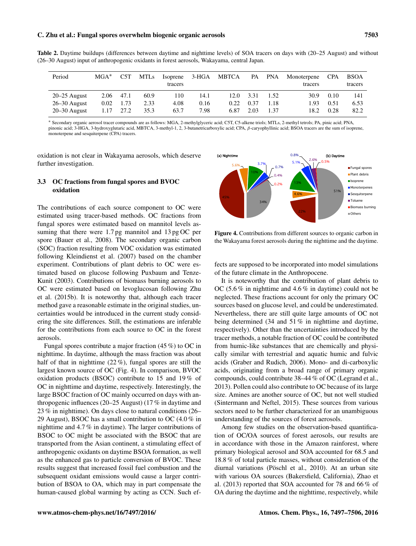#### C. Zhu et al.: Fungal spores overwhelm biogenic organic aerosols 7503

| Period           | $MGA^*$ | C5T  | <b>MTLs</b> | Isoprene<br>tracers | 3-HGA | MBTCA | PA   | PNA  | Monoterpene<br>tracers | <b>CPA</b> | <b>BSOA</b><br>tracers |
|------------------|---------|------|-------------|---------------------|-------|-------|------|------|------------------------|------------|------------------------|
| $20-25$ August   | 2.06    | 47.1 | 60.9        | 110                 | 14.1  | 12.0  | 3.31 | 1.52 | 30.9                   | 0.10       | 141                    |
| $26 - 30$ August | 0.02    | 1.73 | 2.33        | 4.08                | 0.16  | 0.22  | 0.37 | 1.18 | 1.93                   | 0.51       | 6.53                   |
| $20 - 30$ August | 1.17    | 27.2 | 35.3        | 63.7                | 7.98  | 6.87  | 2.03 | 1.37 | 18.2                   | 0.28       | 82.2                   |

Table 2. Daytime buildups (differences between daytime and nighttime levels) of SOA tracers on days with (20–25 August) and without (26–30 August) input of anthropogenic oxidants in forest aerosols, Wakayama, central Japan.

<sup>∗</sup> Secondary organic aerosol tracer compounds are as follows: MGA, 2-methylglyceric acid; C5T, C5-alkene triols; MTLs, 2-methyl tetrols; PA, pinic acid; PNA, pinonic acid; 3-HGA, 3-hydroxyglutaric acid, MBTCA, 3-methyl-1, 2, 3-butanetricarboxylic acid; CPA, β-caryophyllinic acid; BSOA tracers are the sum of isoprene, monoterpene and sesquiterpene (CPA) tracers.

oxidation is not clear in Wakayama aerosols, which deserve further investigation.

## 3.3 OC fractions from fungal spores and BVOC oxidation

The contributions of each source component to OC were estimated using tracer-based methods. OC fractions from fungal spores were estimated based on mannitol levels assuming that there were 1.7 pg mannitol and 13 pg OC per spore (Bauer et al., 2008). The secondary organic carbon (SOC) fraction resulting from VOC oxidation was estimated following Kleindienst et al. (2007) based on the chamber experiment. Contributions of plant debris to OC were estimated based on glucose following Puxbaum and Tenze-Kunit (2003). Contributions of biomass burning aerosols to OC were estimated based on levoglucosan following Zhu et al. (2015b). It is noteworthy that, although each tracer method gave a reasonable estimate in the original studies, uncertainties would be introduced in the current study considering the site differences. Still, the estimations are inferable for the contributions from each source to OC in the forest aerosols.

Fungal spores contribute a major fraction (45 %) to OC in nighttime. In daytime, although the mass fraction was about half of that in nighttime  $(22\%)$ , fungal spores are still the largest known source of OC (Fig. 4). In comparison, BVOC oxidation products (BSOC) contribute to 15 and 19 % of OC in nighttime and daytime, respectively. Interestingly, the large BSOC fraction of OC mainly occurred on days with anthropogenic influences (20–25 August) (17 % in daytime and 23 % in nighttime). On days close to natural conditions (26– 29 August), BSOC has a small contribution to OC (4.0 % in nighttime and 4.7 % in daytime). The larger contributions of BSOC to OC might be associated with the BSOC that are transported from the Asian continent, a stimulating effect of anthropogenic oxidants on daytime BSOA formation, as well as the enhanced gas to particle conversion of BVOC. These results suggest that increased fossil fuel combustion and the subsequent oxidant emissions would cause a larger contribution of BSOA to OA, which may in part compensate the The contributions of each source component to OC were<br>
estimated using tracer-based methods. OC fractions from<br>
strainag shores were estimated based on an antiol levels as<br>
suming that there were 1.7 pg mannitol and 13 pg



Figure 4. Contributions from different sources to organic carbon in the Wakayama forest aerosols during the nighttime and the daytime.

fects are supposed to be incorporated into model simulations of the future climate in the Anthropocene.

It is noteworthy that the contribution of plant debris to OC (5.6 % in nighttime and 4.6 % in daytime) could not be neglected. These fractions account for only the primary OC sources based on glucose level, and could be underestimated. Nevertheless, there are still quite large amounts of OC not being determined (34 and 51 % in nighttime and daytime, respectively). Other than the uncertainties introduced by the tracer methods, a notable fraction of OC could be contributed from humic-like substances that are chemically and physically similar with terrestrial and aquatic humic and fulvic acids (Graber and Rudich, 2006). Mono- and di-carboxylic acids, originating from a broad range of primary organic compounds, could contribute 38–44 % of OC (Legrand et al., 2013). Pollen could also contribute to OC because of its large size. Amines are another source of OC, but not well studied (Sintermann and Neftel, 2015). These sources from various sectors need to be further characterized for an unambiguous understanding of the sources of forest aerosols.

Among few studies on the observation-based quantification of OC/OA sources of forest aerosols, our results are in accordance with those in the Amazon rainforest, where primary biological aerosol and SOA accounted for 68.5 and 18.8 % of total particle masses, without consideration of the diurnal variations (Pöschl et al., 2010). At an urban site with various OA sources (Bakersfield, California), Zhao et al. (2013) reported that SOA accounted for 78 and 66 % of OA during the daytime and the nighttime, respectively, while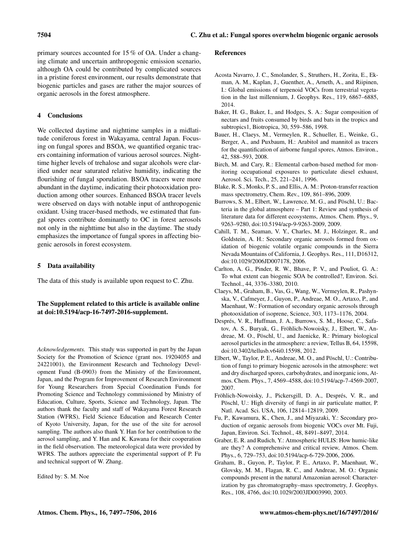primary sources accounted for 15 % of OA. Under a changing climate and uncertain anthropogenic emission scenario, although OA could be contributed by complicated sources in a pristine forest environment, our results demonstrate that biogenic particles and gases are rather the major sources of organic aerosols in the forest atmosphere.

# 4 Conclusions

We collected daytime and nighttime samples in a midlatitude coniferous forest in Wakayama, central Japan. Focusing on fungal spores and BSOA, we quantified organic tracers containing information of various aerosol sources. Nighttime higher levels of trehalose and sugar alcohols were clarified under near saturated relative humidity, indicating the flourishing of fungal sporulation. BSOA tracers were more abundant in the daytime, indicating their photooxidation production among other sources. Enhanced BSOA tracer levels were observed on days with notable input of anthropogenic oxidant. Using tracer-based methods, we estimated that fungal spores contribute dominantly to OC in forest aerosols not only in the nighttime but also in the daytime. The study emphasizes the importance of fungal spores in affecting biogenic aerosols in forest ecosystem.

# 5 Data availability

The data of this study is available upon request to C. Zhu.

# The Supplement related to this article is available online at [doi:10.5194/acp-16-7497-2016-supplement.](http://dx.doi.org/10.5194/acp-16-7497-2016-supplement)

*Acknowledgements.* This study was supported in part by the Japan Society for the Promotion of Science (grant nos. 19204055 and 24221001), the Environment Research and Technology Development Fund (B-0903) from the Ministry of the Environment, Japan, and the Program for Improvement of Research Environment for Young Researchers from Special Coordination Funds for Promoting Science and Technology commissioned by Ministry of Education, Culture, Sports, Science and Technology, Japan. The authors thank the faculty and staff of Wakayama Forest Research Station (WFRS), Field Science Education and Research Center of Kyoto University, Japan, for the use of the site for aerosol sampling. The authors also thank Y. Han for her contribution to the aerosol sampling, and Y. Han and K. Kawana for their cooperation in the field observation. The meteorological data were provided by WFRS. The authors appreciate the experimental support of P. Fu and technical support of W. Zhang.

Edited by: S. M. Noe

## References

- Acosta Navarro, J. C., Smolander, S., Struthers, H., Zorita, E., Ekman, A. M., Kaplan, J., Guenther, A., Arneth, A., and Riipinen, I.: Global emissions of terpenoid VOCs from terrestrial vegetation in the last millennium, J. Geophys. Res., 119, 6867–6885, 2014.
- Baker, H. G., Baker, I., and Hodges, S. A.: Sugar composition of nectars and fruits consumed by birds and bats in the tropics and subtropics1, Biotropica, 30, 559–586, 1998.
- Bauer, H., Claeys, M., Vermeylen, R., Schueller, E., Weinke, G., Berger, A., and Puxbaum, H.: Arabitol and mannitol as tracers for the quantification of airborne fungal spores, Atmos. Environ., 42, 588–593, 2008.
- Birch, M. and Cary, R.: Elemental carbon-based method for monitoring occupational exposures to particulate diesel exhaust, Aerosol. Sci. Tech., 25, 221–241, 1996.
- Blake, R. S., Monks, P. S., and Ellis, A. M.: Proton-transfer reaction mass spectrometry, Chem. Rev., 109, 861–896, 2009.
- Burrows, S. M., Elbert, W., Lawrence, M. G., and Pöschl, U.: Bacteria in the global atmosphere – Part 1: Review and synthesis of literature data for different ecosystems, Atmos. Chem. Phys., 9, 9263–9280, doi[:10.5194/acp-9-9263-2009,](http://dx.doi.org/10.5194/acp-9-9263-2009) 2009.
- Cahill, T. M., Seaman, V. Y., Charles, M. J., Holzinger, R., and Goldstein, A. H.: Secondary organic aerosols formed from oxidation of biogenic volatile organic compounds in the Sierra Nevada Mountains of California, J. Geophys. Res., 111, D16312, doi[:10.1029/2006JD007178,](http://dx.doi.org/10.1029/2006JD007178) 2006.
- Carlton, A. G., Pinder, R. W., Bhave, P. V., and Pouliot, G. A.: To what extent can biogenic SOA be controlled?, Environ. Sci. Technol., 44, 3376–3380, 2010.
- Claeys, M., Graham, B., Vas, G., Wang, W., Vermeylen, R., Pashynska, V., Cafmeyer, J., Guyon, P., Andreae, M. O., Artaxo, P., and Maenhaut, W.: Formation of secondary organic aerosols through photooxidation of isoprene, Science, 303, 1173–1176, 2004.
- Després, V. R., Huffman, J. A., Burrows, S. M., Hoose, C., Safatov, A. S., Buryak, G., Fröhlich-Nowoisky, J., Elbert, W., Andreae, M. O., Pöschl, U., and Jaenicke, R.: Primary biological aerosol particles in the atmosphere: a review, Tellus B, 64, 15598, doi[:10.3402/tellusb.v64i0.15598,](http://dx.doi.org/10.3402/tellusb.v64i0.15598) 2012.
- Elbert, W., Taylor, P. E., Andreae, M. O., and Pöschl, U.: Contribution of fungi to primary biogenic aerosols in the atmosphere: wet and dry discharged spores, carbohydrates, and inorganic ions, Atmos. Chem. Phys., 7, 4569–4588, doi[:10.5194/acp-7-4569-2007,](http://dx.doi.org/10.5194/acp-7-4569-2007) 2007.
- Fröhlich-Nowoisky, J., Pickersgill, D. A., Després, V. R., and Pöschl, U.: High diversity of fungi in air particulate matter, P. Natl. Acad. Sci. USA, 106, 12814–12819, 2009.
- Fu, P., Kawamura, K., Chen, J., and Miyazaki, Y.: Secondary production of organic aerosols from biogenic VOCs over Mt. Fuji, Japan, Environ. Sci. Technol., 48, 8491–8497, 2014.
- Graber, E. R. and Rudich, Y.: Atmospheric HULIS: How humic-like are they? A comprehensive and critical review, Atmos. Chem. Phys., 6, 729–753, doi[:10.5194/acp-6-729-2006,](http://dx.doi.org/10.5194/acp-6-729-2006) 2006.
- Graham, B., Guyon, P., Taylor, P. E., Artaxo, P., Maenhaut, W., Glovsky, M. M., Flagan, R. C., and Andreae, M. O.: Organic compounds present in the natural Amazonian aerosol: Characterization by gas chromatography–mass spectrometry, J. Geophys. Res., 108, 4766, doi[:10.1029/2003JD003990,](http://dx.doi.org/10.1029/2003JD003990) 2003.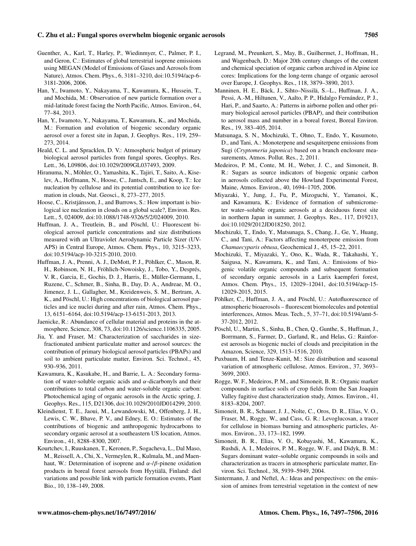#### C. Zhu et al.: Fungal spores overwhelm biogenic organic aerosols 7505

- Guenther, A., Karl, T., Harley, P., Wiedinmyer, C., Palmer, P. I., and Geron, C.: Estimates of global terrestrial isoprene emissions using MEGAN (Model of Emissions of Gases and Aerosols from Nature), Atmos. Chem. Phys., 6, 3181–3210, doi[:10.5194/acp-6-](http://dx.doi.org/10.5194/acp-6-3181-2006) [3181-2006,](http://dx.doi.org/10.5194/acp-6-3181-2006) 2006.
- Han, Y., Iwamoto, Y., Nakayama, T., Kawamura, K., Hussein, T., and Mochida, M.: Observation of new particle formation over a mid-latitude forest facing the North Pacific, Atmos. Environ., 64, 77–84, 2013.
- Han, Y., Iwamoto, Y., Nakayama, T., Kawamura, K., and Mochida, M.: Formation and evolution of biogenic secondary organic aerosol over a forest site in Japan, J. Geophys. Res., 119, 259– 273, 2014.
- Heald, C. L. and Spracklen, D. V.: Atmospheric budget of primary biological aerosol particles from fungal spores, Geophys. Res. Lett., 36, L09806, doi[:10.1029/2009GL037493,](http://dx.doi.org/10.1029/2009GL037493) 2009.
- Hiranuma, N., Möhler, O., Yamashita, K., Tajiri, T., Saito, A., Kiselev, A., Hoffmann, N., Hoose, C., Jantsch, E., and Koop, T.: Ice nucleation by cellulose and its potential contribution to ice formation in clouds, Nat. Geosci., 8, 273–277, 2015.
- Hoose, C., Kristjánsson, J., and Burrows, S.: How important is biological ice nucleation in clouds on a global scale?, Environ. Res. Lett., 5, 024009, doi[:10.1088/1748-9326/5/2/024009,](http://dx.doi.org/10.1088/1748-9326/5/2/024009) 2010.
- Huffman, J. A., Treutlein, B., and Pöschl, U.: Fluorescent biological aerosol particle concentrations and size distributions measured with an Ultraviolet Aerodynamic Particle Sizer (UV-APS) in Central Europe, Atmos. Chem. Phys., 10, 3215–3233, doi[:10.5194/acp-10-3215-2010,](http://dx.doi.org/10.5194/acp-10-3215-2010) 2010.
- Huffman, J. A., Prenni, A. J., DeMott, P. J., Pöhlker, C., Mason, R. H., Robinson, N. H., Fröhlich-Nowoisky, J., Tobo, Y., Després, V. R., Garcia, E., Gochis, D. J., Harris, E., Müller-Germann, I., Ruzene, C., Schmer, B., Sinha, B., Day, D. A., Andreae, M. O., Jimenez, J. L., Gallagher, M., Kreidenweis, S. M., Bertram, A. K., and Pöschl, U.: High concentrations of biological aerosol particles and ice nuclei during and after rain, Atmos. Chem. Phys., 13, 6151–6164, doi[:10.5194/acp-13-6151-2013,](http://dx.doi.org/10.5194/acp-13-6151-2013) 2013.
- Jaenicke, R.: Abundance of cellular material and proteins in the atmosphere, Science, 308, 73, doi[:10.1126/science.1106335,](http://dx.doi.org/10.1126/science.1106335) 2005.
- Jia, Y. and Fraser, M.: Characterization of saccharides in sizefractionated ambient particulate matter and aerosol sources: the contribution of primary biological aerosol particles (PBAPs) and soil to ambient particulate matter, Environ. Sci. Technol., 45, 930–936, 2011.
- Kawamura, K., Kasukabe, H., and Barrie, L. A.: Secondary formation of water-soluble organic acids and  $\alpha$ -dicarbonyls and their contributions to total carbon and water-soluble organic carbon: Photochemical aging of organic aerosols in the Arctic spring, J. Geophys. Res., 115, D21306, doi[:10.1029/2010JD014299,](http://dx.doi.org/10.1029/2010JD014299) 2010.
- Kleindienst, T. E., Jaoui, M., Lewandowski, M., Offenberg, J. H., Lewis, C. W., Bhave, P. V., and Edney, E. O.: Estimates of the contributions of biogenic and anthropogenic hydrocarbons to secondary organic aerosol at a southeastern US location, Atmos. Environ., 41, 8288–8300, 2007.
- Kourtchev, I., Ruuskanen, T., Keronen, P., Sogacheva, L., Dal Maso, M., Reissell, A., Chi, X., Vermeylen, R., Kulmala, M., and Maenhaut, W.: Determination of isoprene and  $\alpha$ -/β-pinene oxidation products in boreal forest aerosols from Hyytiälä, Finland: diel variations and possible link with particle formation events, Plant Bio., 10, 138–149, 2008.
- Legrand, M., Preunkert, S., May, B., Guilhermet, J., Hoffman, H., and Wagenbach, D.: Major 20th century changes of the content and chemical speciation of organic carbon archived in Alpine ice cores: Implications for the long-term change of organic aerosol over Europe, J. Geophys. Res., 118, 3879–3890, 2013.
- Manninen, H. E., Bäck, J., Sihto–Nissilä, S.–L., Huffman, J. A., Pessi, A.-M., Hiltunen, V., Aalto, P. P., Hidalgo Fernández, P. J., Hari, P., and Saarto, A.: Patterns in airborne pollen and other primary biological aerosol particles (PBAP), and their contribution to aerosol mass and number in a boreal forest, Boreal Environ. Res., 19, 383–405, 2014.
- Matsunaga, S. N., Mochizuki, T., Ohno, T., Endo, Y., Kusumoto, D., and Tani, A.: Monoterpene and sesquiterpene emissions from Sugi (*Cryptomeria japonica*) based on a branch enclosure measurements, Atmos. Pollut. Res., 2, 2011.
- Medeiros, P. M., Conte, M. H., Weber, J. C., and Simoneit, B. R.: Sugars as source indicators of biogenic organic carbon in aerosols collected above the Howland Experimental Forest, Maine, Atmos. Environ., 40, 1694–1705, 2006.
- Miyazaki, Y., Jung, J., Fu, P., Mizoguchi, Y., Yamanoi, K., and Kawamura, K.: Evidence of formation of submicrometer water–soluble organic aerosols at a deciduous forest site in northern Japan in summer, J. Geophys. Res., 117, D19213, doi[:10.1029/2012JD018250,](http://dx.doi.org/10.1029/2012JD018250) 2012.
- Mochizuki, T., Endo, Y., Matsunaga, S., Chang, J., Ge, Y., Huang, C., and Tani, A.: Factors affecting monoterpene emission from *Chamaecyparis obtusa*, Geochemical J., 45, 15–22, 2011.
- Mochizuki, T., Miyazaki, Y., Ono, K., Wada, R., Takahashi, Y., Saigusa, N., Kawamura, K., and Tani, A.: Emissions of biogenic volatile organic compounds and subsequent formation of secondary organic aerosols in a Larix kaempferi forest, Atmos. Chem. Phys., 15, 12029–12041, doi[:10.5194/acp-15-](http://dx.doi.org/10.5194/acp-15-12029-2015) [12029-2015,](http://dx.doi.org/10.5194/acp-15-12029-2015) 2015.
- Pöhlker, C., Huffman, J. A., and Pöschl, U.: Autofluorescence of atmospheric bioaerosols – fluorescent biomolecules and potential interferences, Atmos. Meas. Tech., 5, 37–71, doi[:10.5194/amt-5-](http://dx.doi.org/10.5194/amt-5-37-2012) [37-2012,](http://dx.doi.org/10.5194/amt-5-37-2012) 2012.
- Pöschl, U., Martin, S., Sinha, B., Chen, Q., Gunthe, S., Huffman, J., Borrmann, S., Farmer, D., Garland, R., and Helas, G.: Rainforest aerosols as biogenic nuclei of clouds and precipitation in the Amazon, Science, 329, 1513–1516, 2010.
- Puxbaum, H. and Tenze-Kunit, M.: Size distribution and seasonal variation of atmospheric cellulose, Atmos. Environ., 37, 3693– 3699, 2003.
- Rogge, W. F., Medeiros, P. M., and Simoneit, B. R.: Organic marker compounds in surface soils of crop fields from the San Joaquin Valley fugitive dust characterization study, Atmos. Environ., 41, 8183–8204, 2007.
- Simoneit, B. R., Schauer, J. J., Nolte, C., Oros, D. R., Elias, V. O., Fraser, M., Rogge, W., and Cass, G. R.: Levoglucosan, a tracer for cellulose in biomass burning and atmospheric particles, Atmos. Environ., 33, 173–182, 1999.
- Simoneit, B. R., Elias, V. O., Kobayashi, M., Kawamura, K., Rushdi, A. I., Medeiros, P. M., Rogge, W. F., and Didyk, B. M.: Sugars dominant water–soluble organic compounds in soils and characterization as tracers in atmospheric particulate matter, Environ. Sci. Technol., 38, 5939–5949, 2004.
- Sintermann, J. and Neftel, A.: Ideas and perspectives: on the emission of amines from terrestrial vegetation in the context of new